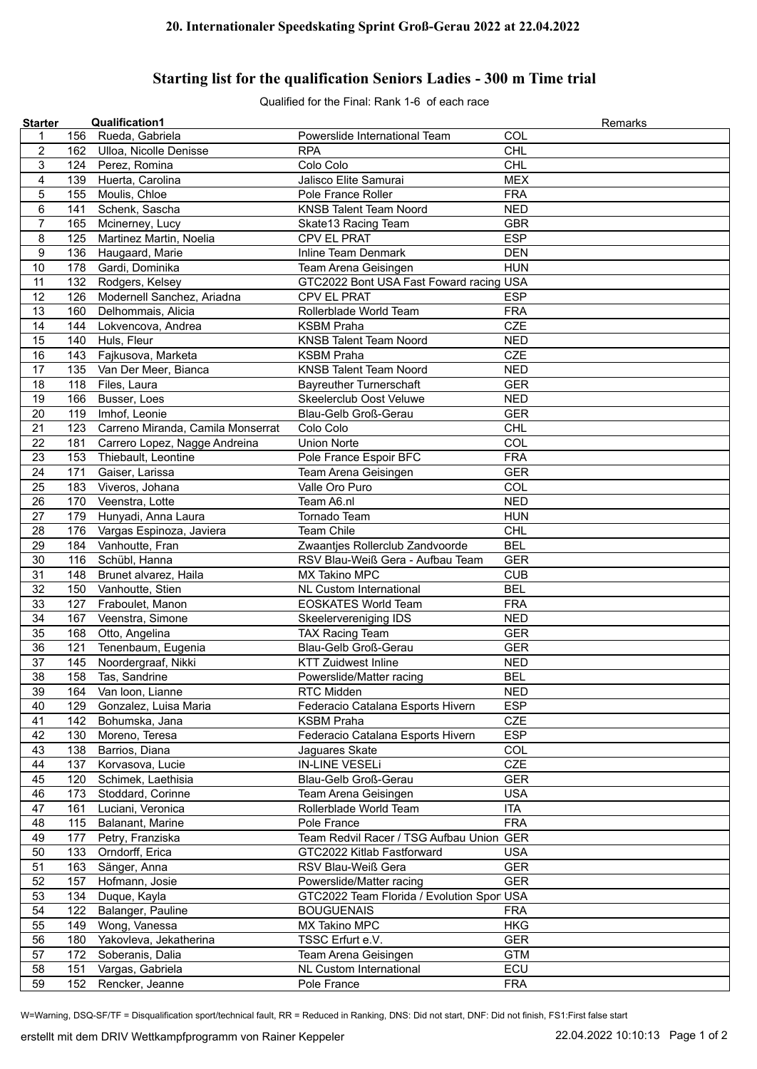## **Starting list for the qualification Seniors Ladies - 300 m Time trial**

Qualified for the Final: Rank 1-6 of each race

| <b>Starter</b>   |     | <b>Qualification1</b>             |                                           | Remarks    |
|------------------|-----|-----------------------------------|-------------------------------------------|------------|
| 1                | 156 | Rueda, Gabriela                   | Powerslide International Team             | COL        |
| $\boldsymbol{2}$ |     | 162 Ulloa, Nicolle Denisse        | <b>RPA</b>                                | <b>CHL</b> |
| 3                | 124 | Perez, Romina                     | Colo Colo                                 | <b>CHL</b> |
| $\overline{4}$   | 139 | Huerta, Carolina                  | Jalisco Elite Samurai                     | <b>MEX</b> |
| 5                | 155 | Moulis, Chloe                     | Pole France Roller                        | <b>FRA</b> |
| 6                | 141 | Schenk, Sascha                    | <b>KNSB Talent Team Noord</b>             | <b>NED</b> |
| $\overline{7}$   | 165 | Mcinerney, Lucy                   | Skate13 Racing Team                       | <b>GBR</b> |
| 8                | 125 | Martinez Martin, Noelia           | CPV EL PRAT                               | <b>ESP</b> |
| $\boldsymbol{9}$ | 136 | Haugaard, Marie                   | Inline Team Denmark                       | <b>DEN</b> |
| 10               | 178 | Gardi, Dominika                   | Team Arena Geisingen                      | <b>HUN</b> |
| 11               | 132 | Rodgers, Kelsey                   | GTC2022 Bont USA Fast Foward racing USA   |            |
| 12               | 126 | Modernell Sanchez, Ariadna        | CPV EL PRAT                               | <b>ESP</b> |
| 13               | 160 | Delhommais, Alicia                | Rollerblade World Team                    | <b>FRA</b> |
| 14               | 144 | Lokvencova, Andrea                | <b>KSBM Praha</b>                         | <b>CZE</b> |
| 15               | 140 | Huls, Fleur                       | <b>KNSB Talent Team Noord</b>             | <b>NED</b> |
| 16               | 143 | Fajkusova, Marketa                | <b>KSBM Praha</b>                         | <b>CZE</b> |
| 17               | 135 | Van Der Meer, Bianca              | <b>KNSB Talent Team Noord</b>             | <b>NED</b> |
| 18               | 118 | Files, Laura                      | <b>Bayreuther Turnerschaft</b>            | <b>GER</b> |
|                  | 166 |                                   | Skeelerclub Oost Veluwe                   | <b>NED</b> |
| 19               |     | Busser, Loes                      |                                           |            |
| 20               | 119 | Imhof, Leonie                     | Blau-Gelb Groß-Gerau                      | <b>GER</b> |
| 21               | 123 | Carreno Miranda, Camila Monserrat | Colo Colo                                 | <b>CHL</b> |
| 22               | 181 | Carrero Lopez, Nagge Andreina     | <b>Union Norte</b>                        | COL        |
| 23               | 153 | Thiebault, Leontine               | Pole France Espoir BFC                    | <b>FRA</b> |
| 24               | 171 | Gaiser, Larissa                   | Team Arena Geisingen                      | <b>GER</b> |
| 25               | 183 | Viveros, Johana                   | Valle Oro Puro                            | COL        |
| 26               | 170 | Veenstra, Lotte                   | Team A6.nl                                | <b>NED</b> |
| 27               | 179 | Hunyadi, Anna Laura               | <b>Tornado Team</b>                       | <b>HUN</b> |
| 28               | 176 | Vargas Espinoza, Javiera          | Team Chile                                | <b>CHL</b> |
| 29               | 184 | Vanhoutte, Fran                   | Zwaantjes Rollerclub Zandvoorde           | <b>BEL</b> |
| 30               | 116 | Schübl, Hanna                     | RSV Blau-Weiß Gera - Aufbau Team          | <b>GER</b> |
| 31               | 148 | Brunet alvarez, Haila             | MX Takino MPC                             | <b>CUB</b> |
| 32               | 150 | Vanhoutte, Stien                  | NL Custom International                   | <b>BEL</b> |
| 33               | 127 | Fraboulet, Manon                  | <b>EOSKATES World Team</b>                | <b>FRA</b> |
| 34               | 167 | Veenstra, Simone                  | Skeelervereniging IDS                     | <b>NED</b> |
| 35               | 168 | Otto, Angelina                    | <b>TAX Racing Team</b>                    | <b>GER</b> |
| 36               | 121 | Tenenbaum, Eugenia                | Blau-Gelb Groß-Gerau                      | <b>GER</b> |
| 37               | 145 | Noordergraaf, Nikki               | <b>KTT Zuidwest Inline</b>                | <b>NED</b> |
| 38               | 158 | Tas, Sandrine                     | Powerslide/Matter racing                  | <b>BEL</b> |
| 39               | 164 | Van Ioon, Lianne                  | RTC Midden                                | NED        |
| 40               | 129 | Gonzalez, Luisa Maria             | Federacio Catalana Esports Hivern         | <b>ESP</b> |
| 41               | 142 | Bohumska, Jana                    | <b>KSBM Praha</b>                         | <b>CZE</b> |
| 42               | 130 | Moreno, Teresa                    | Federacio Catalana Esports Hivern         | <b>ESP</b> |
| 43               | 138 | Barrios, Diana                    | Jaguares Skate                            | COL        |
| 44               | 137 | Korvasova, Lucie                  | <b>IN-LINE VESELi</b>                     | <b>CZE</b> |
| 45               | 120 | Schimek, Laethisia                | Blau-Gelb Groß-Gerau                      | <b>GER</b> |
| 46               | 173 | Stoddard, Corinne                 | Team Arena Geisingen                      | <b>USA</b> |
| 47               | 161 | Luciani, Veronica                 | Rollerblade World Team                    | ITA        |
| 48               | 115 | Balanant, Marine                  | Pole France                               | <b>FRA</b> |
| 49               | 177 | Petry, Franziska                  | Team Redvil Racer / TSG Aufbau Union GER  |            |
|                  |     |                                   |                                           |            |
| 50               | 133 | Orndorff, Erica                   | GTC2022 Kitlab Fastforward                | <b>USA</b> |
| 51               | 163 | Sänger, Anna                      | RSV Blau-Weiß Gera                        | <b>GER</b> |
| 52               | 157 | Hofmann, Josie                    | Powerslide/Matter racing                  | <b>GER</b> |
| 53               | 134 | Duque, Kayla                      | GTC2022 Team Florida / Evolution Spor USA |            |
| 54               | 122 | Balanger, Pauline                 | <b>BOUGUENAIS</b>                         | <b>FRA</b> |
| 55               | 149 | Wong, Vanessa                     | MX Takino MPC                             | <b>HKG</b> |
| 56               | 180 | Yakovleva, Jekatherina            | TSSC Erfurt e.V.                          | <b>GER</b> |
| 57               | 172 | Soberanis, Dalia                  | Team Arena Geisingen                      | <b>GTM</b> |
| 58               | 151 | Vargas, Gabriela                  | NL Custom International                   | ECU        |
| 59               | 152 | Rencker, Jeanne                   | Pole France                               | <b>FRA</b> |

W=Warning, DSQ-SF/TF = Disqualification sport/technical fault, RR = Reduced in Ranking, DNS: Did not start, DNF: Did not finish, FS1:First false start